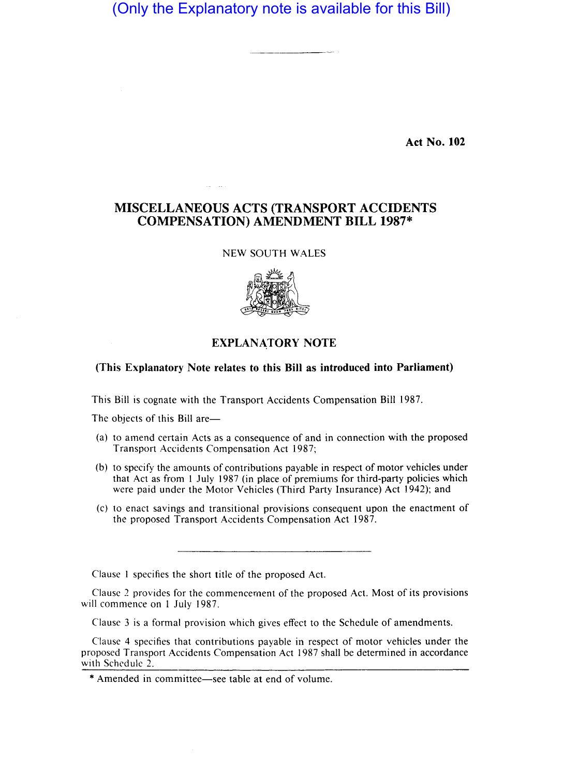# (Only the Explanatory note is available for this Bill)

**Act No. 102** 

## **MISCELLANEOUS ACTS (TRANSPORT ACCIDENTS COMPENSATION) AMENDMENT BILL 1987\***

#### NEW SOUTH WALES



### **EXPLANA,TORY NOTE**

#### **(This Explanatory Note relates to this Bill as introduced into Parliament)**

This Bill is cognate with the Transport Accidents Compensation Bill 1987.

The objects of this Bill are-

- (a) to amend certain Acts as a consequence of and in connection with the proposed Transport Accidents Compensation Act 1987;
- (b) to specify the amounts of contributions payable in respect of motor vehicles under that Act as from 1 July 1987 (in place of premiums for third-party policies which were paid under the Motor Vehicles (Third Party Insurance) Act 1942); and
- (c) to enact savings and transitional provisions consequent upon the enactment of the proposed Transport Accidents Compensation Act 1987.

Clause I specifies the short title of the proposed Act.

Clause 2 provides for the commencement of the proposed Act. Most of its provisions will commence on 1 July 1987.

Clause 3 is a formal provision which gives effect to the Schedule of amendments.

Clause 4 specifies that contributions payable in respect of motor vehicles under the proposed Transport Accidents Compensation Act 1987 shall be determined in accordance with Schedule 2.

<sup>\*</sup> Amended in committee-see table at end of volume.